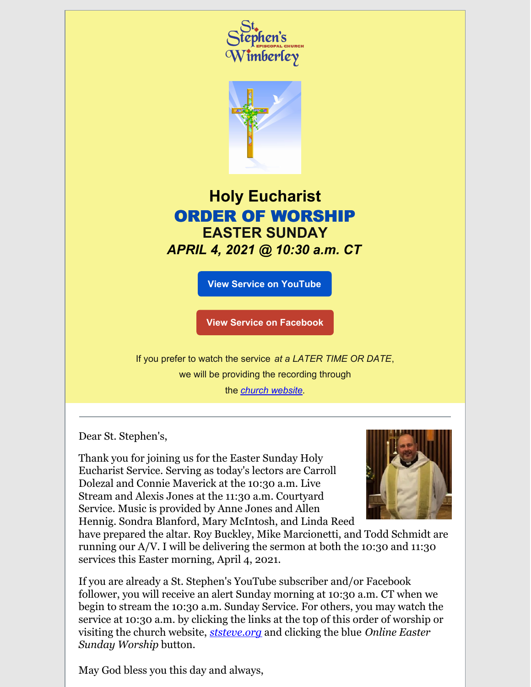



# **Holy Eucharist** ORDER OF WORSHIP **EASTER SUNDAY** *APRIL 4, 2021 @ 10:30 a.m. CT*

**View Service on [YouTube](https://www.youtube.com/channel/UCmmBnkLij8nRcabWBv40LaA)**

**View Service on [Facebook](https://www.facebook.com/ststeveepiscopal/)**

If you prefer to watch the service *at a LATER TIME OR DATE*, we will be providing the recording through the *church [website](https://www.youtube.com/playlist?list=PLbj1hnloR5xHJsmF-hpx5dFagON9iRQyG)*.

Dear St. Stephen's,

Thank you for joining us for the Easter Sunday Holy Eucharist Service. Serving as today's lectors are Carroll Dolezal and Connie Maverick at the 10:30 a.m. Live Stream and Alexis Jones at the 11:30 a.m. Courtyard Service. Music is provided by Anne Jones and Allen Hennig. Sondra Blanford, Mary McIntosh, and Linda Reed



have prepared the altar. Roy Buckley, Mike Marcionetti, and Todd Schmidt are running our A/V. I will be delivering the sermon at both the 10:30 and 11:30 services this Easter morning, April 4, 2021.

If you are already a St. Stephen's YouTube subscriber and/or Facebook follower, you will receive an alert Sunday morning at 10:30 a.m. CT when we begin to stream the 10:30 a.m. Sunday Service. For others, you may watch the service at 10:30 a.m. by clicking the links at the top of this order of worship or visiting the church website, *[ststeve.org](http://ststeve.org)* and clicking the blue *Online Easter Sunday Worship* button.

May God bless you this day and always,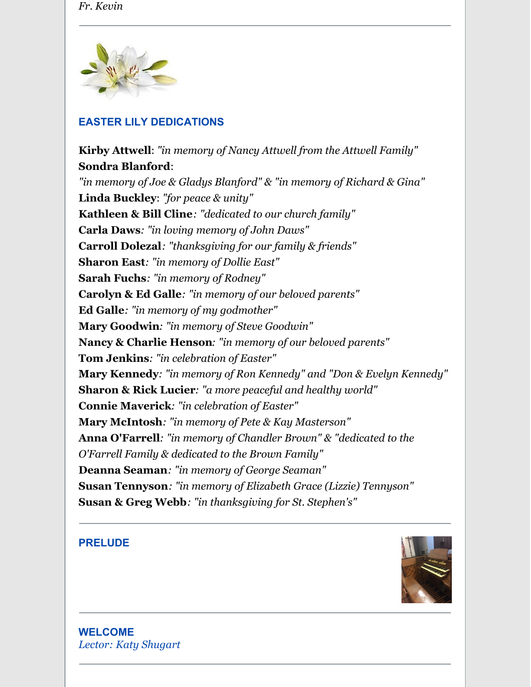

## **EASTER LILY DEDICATIONS**

**Kirby Attwell**: *"in memory of Nancy Attwell from the Attwell Family"* **Sondra Blanford**: *"in memory of Joe & Gladys Blanford" & "in memory of Richard & Gina"* **Linda Buckley**: *"for peace & unity"* **Kathleen & Bill Cline***: "dedicated to our church family"* **Carla Daws***: "in loving memory of John Daws"* **Carroll Dolezal***: "thanksgiving for our family & friends"* **Sharon East***: "in memory of Dollie East"* **Sarah Fuchs***: "in memory of Rodney"* **Carolyn & Ed Galle***: "in memory of our beloved parents"* **Ed Galle***: "in memory of my godmother"* **Mary Goodwin***: "in memory of Steve Goodwin"* **Nancy & Charlie Henson***: "in memory of our beloved parents"* **Tom Jenkins***: "in celebration of Easter"* **Mary Kennedy***: "in memory of Ron Kennedy" and "Don & Evelyn Kennedy"* **Sharon & Rick Lucier***: "a more peaceful and healthy world"* **Connie Maverick***: "in celebration of Easter"* **Mary McIntosh***: "in memory of Pete & Kay Masterson"* **Anna O'Farrell***: "in memory of Chandler Brown" & "dedicated to the O'Farrell Family & dedicated to the Brown Family"* **Deanna Seaman***: "in memory of George Seaman"* **Susan Tennyson***: "in memory of Elizabeth Grace (Lizzie) Tennyson"* **Susan & Greg Webb***: "in thanksgiving for St. Stephen's"*

#### **PRELUDE**



**WELCOME** *Lector: Katy Shugart*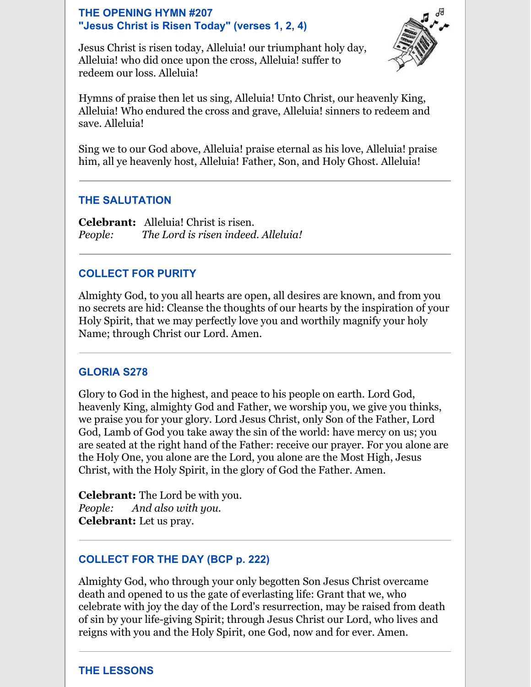#### **THE OPENING HYMN #207 "Jesus Christ is Risen Today" (verses 1, 2, 4)**

Jesus Christ is risen today, Alleluia! our triumphant holy day, Alleluia! who did once upon the cross, Alleluia! suffer to redeem our loss. Alleluia!



Hymns of praise then let us sing, Alleluia! Unto Christ, our heavenly King, Alleluia! Who endured the cross and grave, Alleluia! sinners to redeem and save. Alleluia!

Sing we to our God above, Alleluia! praise eternal as his love, Alleluia! praise him, all ye heavenly host, Alleluia! Father, Son, and Holy Ghost. Alleluia!

## **THE SALUTATION**

**Celebrant:** Alleluia! Christ is risen. *People: The Lord is risen indeed. Alleluia!*

## **COLLECT FOR PURITY**

Almighty God, to you all hearts are open, all desires are known, and from you no secrets are hid: Cleanse the thoughts of our hearts by the inspiration of your Holy Spirit, that we may perfectly love you and worthily magnify your holy Name; through Christ our Lord. Amen.

## **GLORIA S278**

Glory to God in the highest, and peace to his people on earth. Lord God, heavenly King, almighty God and Father, we worship you, we give you thinks, we praise you for your glory. Lord Jesus Christ, only Son of the Father, Lord God, Lamb of God you take away the sin of the world: have mercy on us; you are seated at the right hand of the Father: receive our prayer. For you alone are the Holy One, you alone are the Lord, you alone are the Most High, Jesus Christ, with the Holy Spirit, in the glory of God the Father. Amen.

**Celebrant:** The Lord be with you. *People: And also with you.* **Celebrant:** Let us pray.

## **COLLECT FOR THE DAY (BCP p. 222)**

Almighty God, who through your only begotten Son Jesus Christ overcame death and opened to us the gate of everlasting life: Grant that we, who celebrate with joy the day of the Lord's resurrection, may be raised from death of sin by your life-giving Spirit; through Jesus Christ our Lord, who lives and reigns with you and the Holy Spirit, one God, now and for ever. Amen.

#### **THE LESSONS**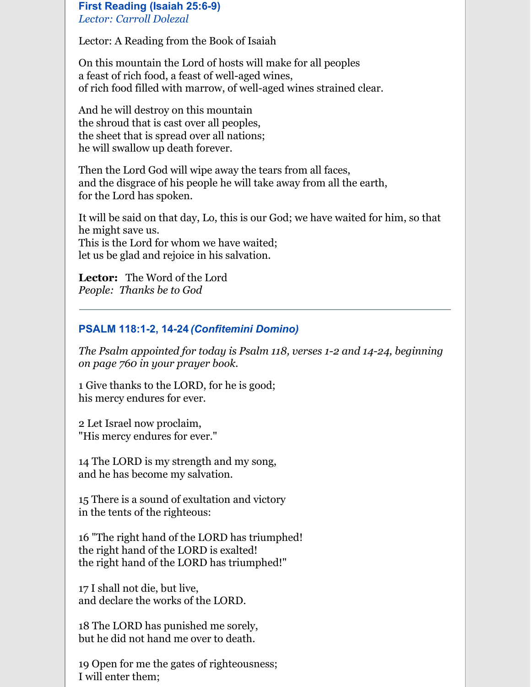#### **First Reading (Isaiah 25:6-9)** *Lector: Carroll Dolezal*

Lector: A Reading from the Book of Isaiah

On this mountain the Lord of hosts will make for all peoples a feast of rich food, a feast of well-aged wines, of rich food filled with marrow, of well-aged wines strained clear.

And he will destroy on this mountain the shroud that is cast over all peoples, the sheet that is spread over all nations; he will swallow up death forever.

Then the Lord God will wipe away the tears from all faces, and the disgrace of his people he will take away from all the earth, for the Lord has spoken.

It will be said on that day, Lo, this is our God; we have waited for him, so that he might save us. This is the Lord for whom we have waited; let us be glad and rejoice in his salvation.

**Lector:** The Word of the Lord *People: Thanks be to God*

## **PSALM 118:1-2, 14-24** *(Confitemini Domino)*

*The Psalm appointed for today is Psalm 118, verses 1-2 and 14-24, beginning on page 760 in your prayer book.*

1 Give thanks to the LORD, for he is good; his mercy endures for ever.

2 Let Israel now proclaim, "His mercy endures for ever."

14 The LORD is my strength and my song, and he has become my salvation.

15 There is a sound of exultation and victory in the tents of the righteous:

16 "The right hand of the LORD has triumphed! the right hand of the LORD is exalted! the right hand of the LORD has triumphed!"

17 I shall not die, but live, and declare the works of the LORD.

18 The LORD has punished me sorely, but he did not hand me over to death.

19 Open for me the gates of righteousness; I will enter them;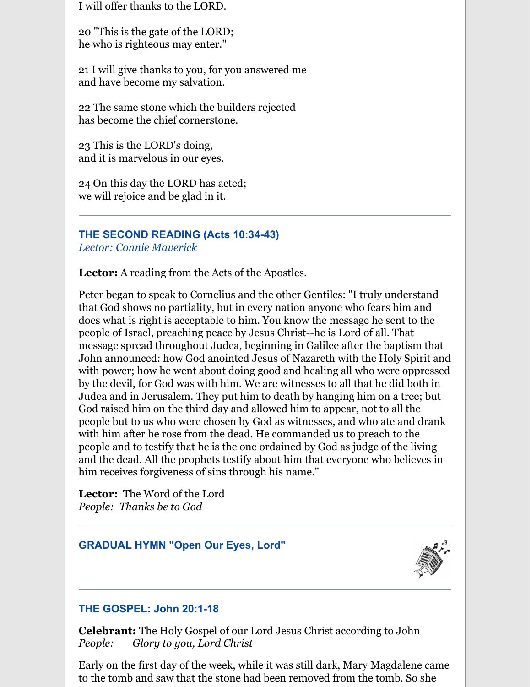I will offer thanks to the LORD.

20 "This is the gate of the LORD; he who is righteous may enter."

21 I will give thanks to you, for you answered me and have become my salvation.

22 The same stone which the builders rejected has become the chief cornerstone.

23 This is the LORD's doing, and it is marvelous in our eyes.

24 On this day the LORD has acted; we will rejoice and be glad in it.

#### **THE SECOND READING (Acts 10:34-43)** *Lector: Connie Maverick*

**Lector:** A reading from the Acts of the Apostles.

Peter began to speak to Cornelius and the other Gentiles: "I truly understand that God shows no partiality, but in every nation anyone who fears him and does what is right is acceptable to him. You know the message he sent to the people of Israel, preaching peace by Jesus Christ--he is Lord of all. That message spread throughout Judea, beginning in Galilee after the baptism that John announced: how God anointed Jesus of Nazareth with the Holy Spirit and with power; how he went about doing good and healing all who were oppressed by the devil, for God was with him. We are witnesses to all that he did both in Judea and in Jerusalem. They put him to death by hanging him on a tree; but God raised him on the third day and allowed him to appear, not to all the people but to us who were chosen by God as witnesses, and who ate and drank with him after he rose from the dead. He commanded us to preach to the people and to testify that he is the one ordained by God as judge of the living and the dead. All the prophets testify about him that everyone who believes in him receives forgiveness of sins through his name."

**Lector:** The Word of the Lord *People: Thanks be to God*

## **GRADUAL HYMN "Open Our Eyes, Lord"**



## **THE GOSPEL: John 20:1-18**

**Celebrant:** The Holy Gospel of our Lord Jesus Christ according to John *People: Glory to you, Lord Christ*

Early on the first day of the week, while it was still dark, Mary Magdalene came to the tomb and saw that the stone had been removed from the tomb. So she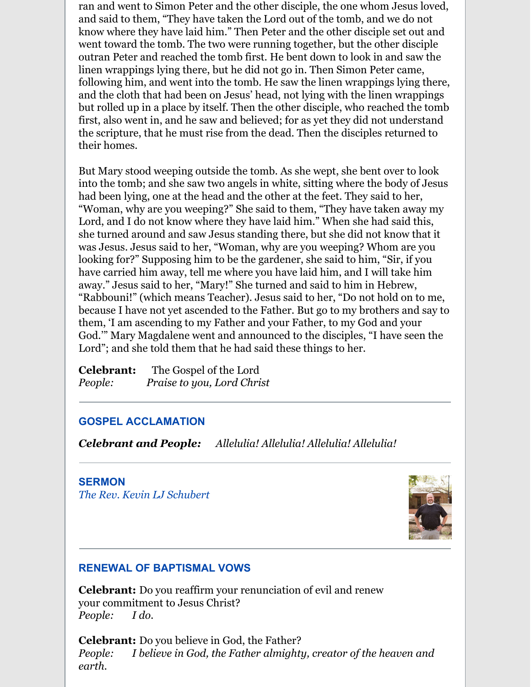ran and went to Simon Peter and the other disciple, the one whom Jesus loved, and said to them, "They have taken the Lord out of the tomb, and we do not know where they have laid him." Then Peter and the other disciple set out and went toward the tomb. The two were running together, but the other disciple outran Peter and reached the tomb first. He bent down to look in and saw the linen wrappings lying there, but he did not go in. Then Simon Peter came, following him, and went into the tomb. He saw the linen wrappings lying there, and the cloth that had been on Jesus' head, not lying with the linen wrappings but rolled up in a place by itself. Then the other disciple, who reached the tomb first, also went in, and he saw and believed; for as yet they did not understand the scripture, that he must rise from the dead. Then the disciples returned to their homes.

But Mary stood weeping outside the tomb. As she wept, she bent over to look into the tomb; and she saw two angels in white, sitting where the body of Jesus had been lying, one at the head and the other at the feet. They said to her, "Woman, why are you weeping?" She said to them, "They have taken away my Lord, and I do not know where they have laid him." When she had said this, she turned around and saw Jesus standing there, but she did not know that it was Jesus. Jesus said to her, "Woman, why are you weeping? Whom are you looking for?" Supposing him to be the gardener, she said to him, "Sir, if you have carried him away, tell me where you have laid him, and I will take him away." Jesus said to her, "Mary!" She turned and said to him in Hebrew, "Rabbouni!" (which means Teacher). Jesus said to her, "Do not hold on to me, because I have not yet ascended to the Father. But go to my brothers and say to them, 'I am ascending to my Father and your Father, to my God and your God.'" Mary Magdalene went and announced to the disciples, "I have seen the Lord"; and she told them that he had said these things to her.

**Celebrant:** The Gospel of the Lord *People: Praise to you, Lord Christ*

#### **GOSPEL ACCLAMATION**

*Celebrant and People: Allelulia! Allelulia! Allelulia! Allelulia!*

#### **SERMON** *The Rev. Kevin LJ Schubert*



#### **RENEWAL OF BAPTISMAL VOWS**

**Celebrant:** Do you reaffirm your renunciation of evil and renew your commitment to Jesus Christ? *People: I do.*

**Celebrant:** Do you believe in God, the Father? *People: I believe in God, the Father almighty, creator of the heaven and earth.*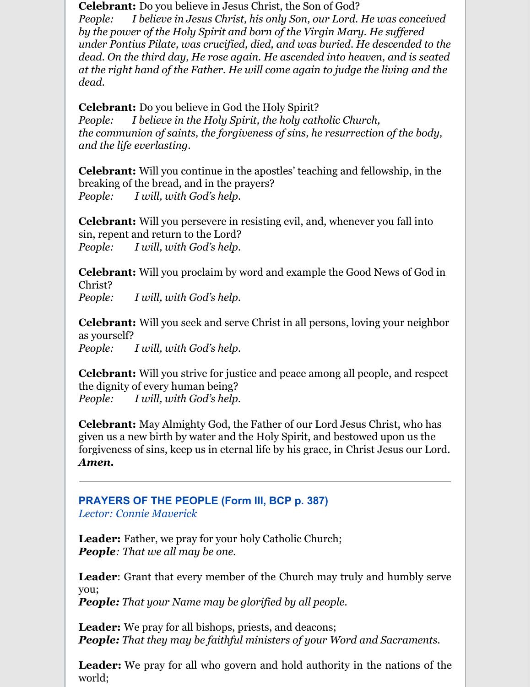**Celebrant:** Do you believe in Jesus Christ, the Son of God?

*People: I believe in Jesus Christ, his only Son, our Lord. He was conceived by the power of the Holy Spirit and born of the Virgin Mary. He suf ered under Pontius Pilate, was crucified, died, and was buried. He descended to the dead. On the third day, He rose again. He ascended into heaven, and is seated at the right hand of the Father. He will come again to judge the living and the dead.*

**Celebrant:** Do you believe in God the Holy Spirit? *People: I believe in the Holy Spirit, the holy catholic Church, the communion of saints, the forgiveness of sins, he resurrection of the body, and the life everlasting.*

**Celebrant:** Will you continue in the apostles' teaching and fellowship, in the breaking of the bread, and in the prayers? *People: I will, with God's help.*

**Celebrant:** Will you persevere in resisting evil, and, whenever you fall into sin, repent and return to the Lord? *People: I will, with God's help.*

**Celebrant:** Will you proclaim by word and example the Good News of God in Christ?

*People: I will, with God's help.*

**Celebrant:** Will you seek and serve Christ in all persons, loving your neighbor as yourself?

*People: I will, with God's help.*

**Celebrant:** Will you strive for justice and peace among all people, and respect the dignity of every human being? *People: I will, with God's help.*

**Celebrant:** May Almighty God, the Father of our Lord Jesus Christ, who has given us a new birth by water and the Holy Spirit, and bestowed upon us the forgiveness of sins, keep us in eternal life by his grace, in Christ Jesus our Lord. *Amen.*

#### **PRAYERS OF THE PEOPLE (Form III, BCP p. 387)** *Lector: Connie Maverick*

**Leader:** Father, we pray for your holy Catholic Church; *People: That we all may be one.*

**Leader**: Grant that every member of the Church may truly and humbly serve you;

*People: That your Name may be glorified by all people.*

**Leader:** We pray for all bishops, priests, and deacons; *People: That they may be faithful ministers of your Word and Sacraments.*

**Leader:** We pray for all who govern and hold authority in the nations of the world;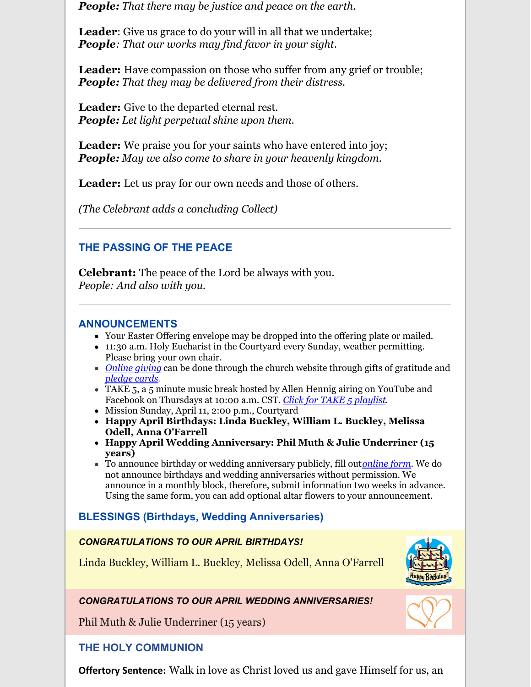*People: That there may be justice and peace on the earth.*

**Leader**: Give us grace to do your will in all that we undertake; *People: That our works may find favor in your sight.*

**Leader:** Have compassion on those who suffer from any grief or trouble; *People: That they may be delivered from their distress.*

**Leader:** Give to the departed eternal rest. *People: Let light perpetual shine upon them.*

**Leader:** We praise you for your saints who have entered into joy; *People: May we also come to share in your heavenly kingdom.*

**Leader:** Let us pray for our own needs and those of others.

*(The Celebrant adds a concluding Collect)*

## **THE PASSING OF THE PEACE**

**Celebrant:** The peace of the Lord be always with you. *People: And also with you.*

#### **ANNOUNCEMENTS**

- Your Easter Offering envelope may be dropped into the offering plate or mailed.
- 11:30 a.m. Holy Eucharist in the Courtyard every Sunday, weather permitting. Please bring your own chair.
- *[Online](https://www.ststeve.org/online-giving) giving* can be done through the church website through gifts of gratitude and *[pledge](https://ststevewimberley.wufoo.com/forms/zjnfcg308j81wp) cards*.
- TAKE 5, a 5 minute music break hosted by Allen Hennig airing on YouTube and Facebook on Thursdays at 10:00 a.m. CST. *Click for TAKE 5 [playlist](https://www.youtube.com/playlist?list=PLbj1hnloR5xEDLgH24nXVZhMMdPqRz_dO)*.
- Mission Sunday, April 11, 2:00 p.m., Courtyard
- **Happy April Birthdays: Linda Buckley, William L. Buckley, Melissa Odell, Anna O'Farrell**
- **Happy April Wedding Anniversary: Phil Muth & Julie Underriner (15 years)**
- To announce birthday or wedding anniversary publicly, fill out*[online](https://www.ststeve.org/forms) form*. We do not announce birthdays and wedding anniversaries without permission. We announce in a monthly block, therefore, submit information two weeks in advance. Using the same form, you can add optional altar flowers to your announcement.

## **BLESSINGS (Birthdays, Wedding Anniversaries)**

#### *CONGRATULATIONS TO OUR APRIL BIRTHDAYS!*

Linda Buckley, William L. Buckley, Melissa Odell, Anna O'Farrell



#### *CONGRATULATIONS TO OUR APRIL WEDDING ANNIVERSARIES!*

Phil Muth & Julie Underriner (15 years)

## **THE HOLY COMMUNION**

**Offertory Sentence:** Walk in love as Christ loved us and gave Himself for us, an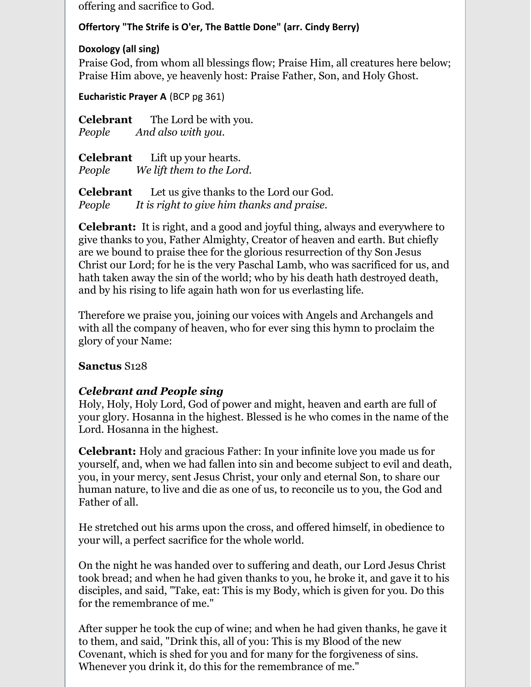offering and sacrifice to God.

#### **Offertory "The Strife is O'er, The Battle Done" (arr. Cindy Berry)**

#### **Doxology (all sing)**

Praise God, from whom all blessings flow; Praise Him, all creatures here below; Praise Him above, ye heavenly host: Praise Father, Son, and Holy Ghost.

**Eucharistic Prayer A** (BCP pg 361)

**Celebrant** The Lord be with you. *People And also with you.*

**Celebrant** Lift up your hearts. *People We lift them to the Lord.*

**Celebrant** Let us give thanks to the Lord our God. *People It is right to give him thanks and praise.*

**Celebrant:** It is right, and a good and joyful thing, always and everywhere to give thanks to you, Father Almighty, Creator of heaven and earth. But chiefly are we bound to praise thee for the glorious resurrection of thy Son Jesus Christ our Lord; for he is the very Paschal Lamb, who was sacrificed for us, and hath taken away the sin of the world; who by his death hath destroyed death, and by his rising to life again hath won for us everlasting life.

Therefore we praise you, joining our voices with Angels and Archangels and with all the company of heaven, who for ever sing this hymn to proclaim the glory of your Name:

#### **Sanctus** S128

## *Celebrant and People sing*

Holy, Holy, Holy Lord, God of power and might, heaven and earth are full of your glory. Hosanna in the highest. Blessed is he who comes in the name of the Lord. Hosanna in the highest.

**Celebrant:** Holy and gracious Father: In your infinite love you made us for yourself, and, when we had fallen into sin and become subject to evil and death, you, in your mercy, sent Jesus Christ, your only and eternal Son, to share our human nature, to live and die as one of us, to reconcile us to you, the God and Father of all.

He stretched out his arms upon the cross, and offered himself, in obedience to your will, a perfect sacrifice for the whole world.

On the night he was handed over to suffering and death, our Lord Jesus Christ took bread; and when he had given thanks to you, he broke it, and gave it to his disciples, and said, "Take, eat: This is my Body, which is given for you. Do this for the remembrance of me."

After supper he took the cup of wine; and when he had given thanks, he gave it to them, and said, "Drink this, all of you: This is my Blood of the new Covenant, which is shed for you and for many for the forgiveness of sins. Whenever you drink it, do this for the remembrance of me."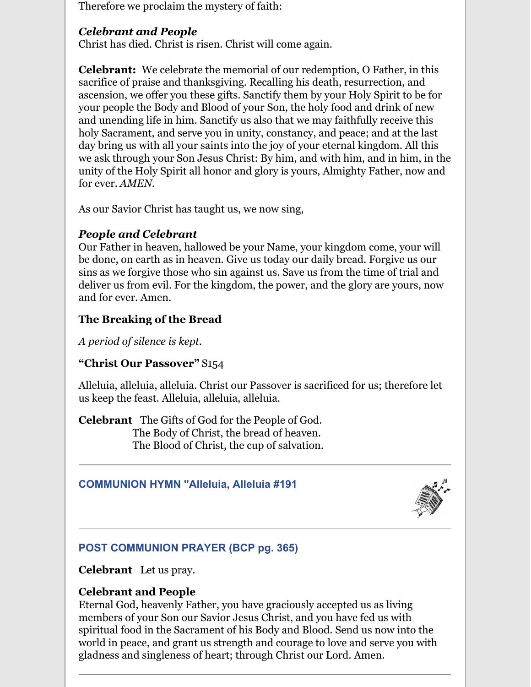Therefore we proclaim the mystery of faith:

## *Celebrant and People*

Christ has died. Christ is risen. Christ will come again.

**Celebrant:** We celebrate the memorial of our redemption, O Father, in this sacrifice of praise and thanksgiving. Recalling his death, resurrection, and ascension, we offer you these gifts. Sanctify them by your Holy Spirit to be for your people the Body and Blood of your Son, the holy food and drink of new and unending life in him. Sanctify us also that we may faithfully receive this holy Sacrament, and serve you in unity, constancy, and peace; and at the last day bring us with all your saints into the joy of your eternal kingdom. All this we ask through your Son Jesus Christ: By him, and with him, and in him, in the unity of the Holy Spirit all honor and glory is yours, Almighty Father, now and for ever. *AMEN.*

As our Savior Christ has taught us, we now sing,

## *People and Celebrant*

Our Father in heaven, hallowed be your Name, your kingdom come, your will be done, on earth as in heaven. Give us today our daily bread. Forgive us our sins as we forgive those who sin against us. Save us from the time of trial and deliver us from evil. For the kingdom, the power, and the glory are yours, now and for ever. Amen.

## **The Breaking of the Bread**

*A period of silence is kept.*

**"Christ Our Passover"** S154

Alleluia, alleluia, alleluia. Christ our Passover is sacrificed for us; therefore let us keep the feast. Alleluia, alleluia, alleluia.

**Celebrant** The Gifts of God for the People of God. The Body of Christ, the bread of heaven. The Blood of Christ, the cup of salvation.

## **COMMUNION HYMN "Alleluia, Alleluia #191**



# **POST COMMUNION PRAYER (BCP pg. 365)**

**Celebrant** Let us pray.

# **Celebrant and People**

Eternal God, heavenly Father, you have graciously accepted us as living members of your Son our Savior Jesus Christ, and you have fed us with spiritual food in the Sacrament of his Body and Blood. Send us now into the world in peace, and grant us strength and courage to love and serve you with gladness and singleness of heart; through Christ our Lord. Amen.